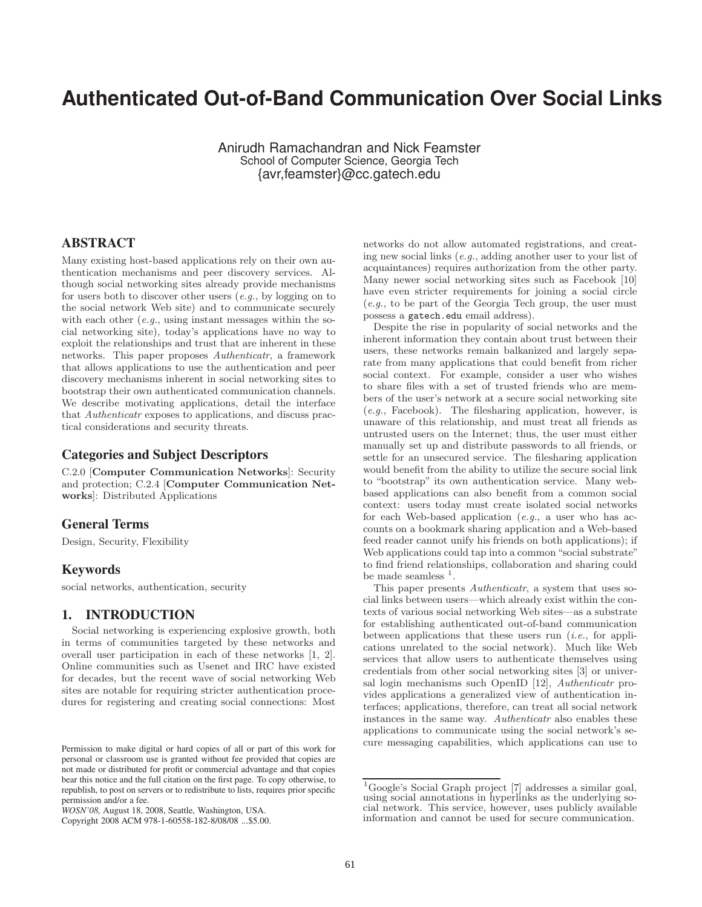# **Authenticated Out-of-Band Communication Over Social Links**

Anirudh Ramachandran and Nick Feamster School of Computer Science, Georgia Tech {avr,feamster}@cc.gatech.edu

## **ABSTRACT**

Many existing host-based applications rely on their own authentication mechanisms and peer discovery services. Although social networking sites already provide mechanisms for users both to discover other users  $(e.g., by logging on to$ the social network Web site) and to communicate securely with each other  $(e.g.,$  using instant messages within the social networking site), today's applications have no way to exploit the relationships and trust that are inherent in these networks. This paper proposes Authenticatr, a framework that allows applications to use the authentication and peer discovery mechanisms inherent in social networking sites to bootstrap their own authenticated communication channels. We describe motivating applications, detail the interface that Authenticatr exposes to applications, and discuss practical considerations and security threats.

#### **Categories and Subject Descriptors**

C.2.0 [Computer Communication Networks]: Security and protection; C.2.4 [Computer Communication Networks]: Distributed Applications

#### **General Terms**

Design, Security, Flexibility

#### **Keywords**

social networks, authentication, security

## **1. INTRODUCTION**

Social networking is experiencing explosive growth, both in terms of communities targeted by these networks and overall user participation in each of these networks [1, 2]. Online communities such as Usenet and IRC have existed for decades, but the recent wave of social networking Web sites are notable for requiring stricter authentication procedures for registering and creating social connections: Most

networks do not allow automated registrations, and creating new social links (e.g., adding another user to your list of acquaintances) requires authorization from the other party. Many newer social networking sites such as Facebook [10] have even stricter requirements for joining a social circle (e.g., to be part of the Georgia Tech group, the user must possess a gatech.edu email address).

Despite the rise in popularity of social networks and the inherent information they contain about trust between their users, these networks remain balkanized and largely separate from many applications that could benefit from richer social context. For example, consider a user who wishes to share files with a set of trusted friends who are members of the user's network at a secure social networking site (e.g., Facebook). The filesharing application, however, is unaware of this relationship, and must treat all friends as untrusted users on the Internet; thus, the user must either manually set up and distribute passwords to all friends, or settle for an unsecured service. The filesharing application would benefit from the ability to utilize the secure social link to "bootstrap" its own authentication service. Many webbased applications can also benefit from a common social context: users today must create isolated social networks for each Web-based application  $(e,q, a)$  user who has accounts on a bookmark sharing application and a Web-based feed reader cannot unify his friends on both applications); if Web applications could tap into a common "social substrate" to find friend relationships, collaboration and sharing could be made seamless  $<sup>1</sup>$ .</sup>

This paper presents Authenticatr, a system that uses social links between users—which already exist within the contexts of various social networking Web sites—as a substrate for establishing authenticated out-of-band communication between applications that these users run  $(i.e.,$  for applications unrelated to the social network). Much like Web services that allow users to authenticate themselves using credentials from other social networking sites [3] or universal login mechanisms such OpenID [12], Authenticatr provides applications a generalized view of authentication interfaces; applications, therefore, can treat all social network instances in the same way. Authenticatr also enables these applications to communicate using the social network's secure messaging capabilities, which applications can use to

Permission to make digital or hard copies of all or part of this work for personal or classroom use is granted without fee provided that copies are not made or distributed for profit or commercial advantage and that copies bear this notice and the full citation on the first page. To copy otherwise, to republish, to post on servers or to redistribute to lists, requires prior specific permission and/or a fee.

*WOSN'08,* August 18, 2008, Seattle, Washington, USA.

Copyright 2008 ACM 978-1-60558-182-8/08/08 ...\$5.00.

 $^{1}\mathrm{Google}$  's Social Graph project [7] addresses a similar goal, using social annotations in hyperlinks as the underlying social network. This service, however, uses publicly available information and cannot be used for secure communication.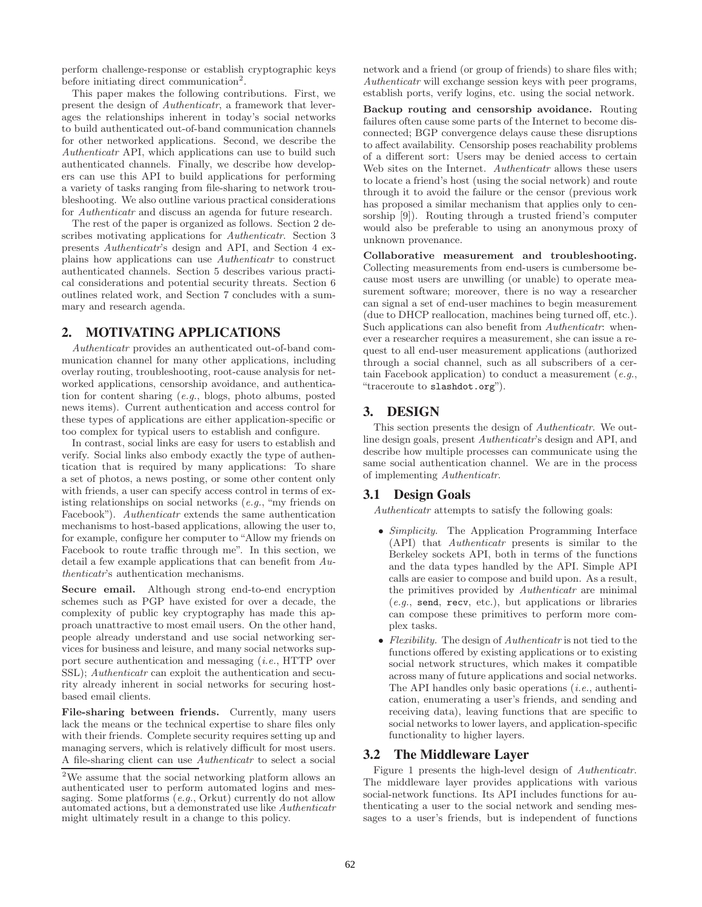perform challenge-response or establish cryptographic keys before initiating direct communication<sup>2</sup>.

This paper makes the following contributions. First, we present the design of Authenticatr, a framework that leverages the relationships inherent in today's social networks to build authenticated out-of-band communication channels for other networked applications. Second, we describe the Authenticatr API, which applications can use to build such authenticated channels. Finally, we describe how developers can use this API to build applications for performing a variety of tasks ranging from file-sharing to network troubleshooting. We also outline various practical considerations for Authenticatr and discuss an agenda for future research.

The rest of the paper is organized as follows. Section 2 describes motivating applications for Authenticatr. Section 3 presents Authenticatr's design and API, and Section 4 explains how applications can use Authenticatr to construct authenticated channels. Section 5 describes various practical considerations and potential security threats. Section 6 outlines related work, and Section 7 concludes with a summary and research agenda.

## **2. MOTIVATING APPLICATIONS**

Authenticatr provides an authenticated out-of-band communication channel for many other applications, including overlay routing, troubleshooting, root-cause analysis for networked applications, censorship avoidance, and authentication for content sharing (e.g., blogs, photo albums, posted news items). Current authentication and access control for these types of applications are either application-specific or too complex for typical users to establish and configure.

In contrast, social links are easy for users to establish and verify. Social links also embody exactly the type of authentication that is required by many applications: To share a set of photos, a news posting, or some other content only with friends, a user can specify access control in terms of existing relationships on social networks  $(e.g., "my friends on$ Facebook"). Authenticatr extends the same authentication mechanisms to host-based applications, allowing the user to, for example, configure her computer to "Allow my friends on Facebook to route traffic through me". In this section, we detail a few example applications that can benefit from Authenticatr's authentication mechanisms.

Secure email. Although strong end-to-end encryption schemes such as PGP have existed for over a decade, the complexity of public key cryptography has made this approach unattractive to most email users. On the other hand, people already understand and use social networking services for business and leisure, and many social networks support secure authentication and messaging (i.e., HTTP over SSL); *Authenticatr* can exploit the authentication and security already inherent in social networks for securing hostbased email clients.

File-sharing between friends. Currently, many users lack the means or the technical expertise to share files only with their friends. Complete security requires setting up and managing servers, which is relatively difficult for most users. A file-sharing client can use Authenticatr to select a social

network and a friend (or group of friends) to share files with; Authenticatr will exchange session keys with peer programs, establish ports, verify logins, etc. using the social network.

Backup routing and censorship avoidance. Routing failures often cause some parts of the Internet to become disconnected; BGP convergence delays cause these disruptions to affect availability. Censorship poses reachability problems of a different sort: Users may be denied access to certain Web sites on the Internet. Authenticatr allows these users to locate a friend's host (using the social network) and route through it to avoid the failure or the censor (previous work has proposed a similar mechanism that applies only to censorship [9]). Routing through a trusted friend's computer would also be preferable to using an anonymous proxy of unknown provenance.

Collaborative measurement and troubleshooting. Collecting measurements from end-users is cumbersome because most users are unwilling (or unable) to operate measurement software; moreover, there is no way a researcher can signal a set of end-user machines to begin measurement (due to DHCP reallocation, machines being turned off, etc.). Such applications can also benefit from Authenticatr: whenever a researcher requires a measurement, she can issue a request to all end-user measurement applications (authorized through a social channel, such as all subscribers of a certain Facebook application) to conduct a measurement  $(e.g.,)$ "traceroute to slashdot.org").

## **3. DESIGN**

This section presents the design of Authenticatr. We outline design goals, present Authenticatr's design and API, and describe how multiple processes can communicate using the same social authentication channel. We are in the process of implementing Authenticatr.

#### **3.1 Design Goals**

Authenticatr attempts to satisfy the following goals:

- Simplicity. The Application Programming Interface (API) that Authenticatr presents is similar to the Berkeley sockets API, both in terms of the functions and the data types handled by the API. Simple API calls are easier to compose and build upon. As a result, the primitives provided by Authenticatr are minimal (e.g., send, recv, etc.), but applications or libraries can compose these primitives to perform more complex tasks.
- Flexibility. The design of Authenticatr is not tied to the functions offered by existing applications or to existing social network structures, which makes it compatible across many of future applications and social networks. The API handles only basic operations  $(i.e.,$  authentication, enumerating a user's friends, and sending and receiving data), leaving functions that are specific to social networks to lower layers, and application-specific functionality to higher layers.

#### **3.2 The Middleware Layer**

Figure 1 presents the high-level design of Authenticatr. The middleware layer provides applications with various social-network functions. Its API includes functions for authenticating a user to the social network and sending messages to a user's friends, but is independent of functions

<sup>2</sup>We assume that the social networking platform allows an authenticated user to perform automated logins and messaging. Some platforms  $(e.g., \text{Orkut})$  currently do not allow automated actions, but a demonstrated use like Authenticatr might ultimately result in a change to this policy.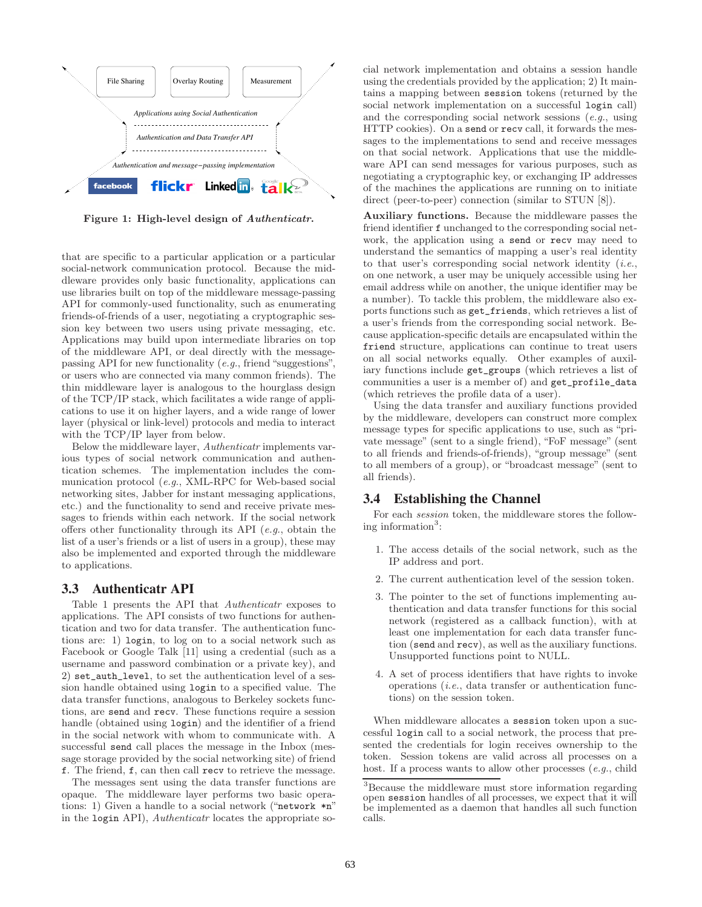

Figure 1: High-level design of Authenticatr.

that are specific to a particular application or a particular social-network communication protocol. Because the middleware provides only basic functionality, applications can use libraries built on top of the middleware message-passing API for commonly-used functionality, such as enumerating friends-of-friends of a user, negotiating a cryptographic session key between two users using private messaging, etc. Applications may build upon intermediate libraries on top of the middleware API, or deal directly with the messagepassing API for new functionality  $(e.g., friend "suggestions")$ , or users who are connected via many common friends). The thin middleware layer is analogous to the hourglass design of the TCP/IP stack, which facilitates a wide range of applications to use it on higher layers, and a wide range of lower layer (physical or link-level) protocols and media to interact with the TCP/IP layer from below.

Below the middleware layer, Authenticatr implements various types of social network communication and authentication schemes. The implementation includes the communication protocol (e.g., XML-RPC for Web-based social networking sites, Jabber for instant messaging applications, etc.) and the functionality to send and receive private messages to friends within each network. If the social network offers other functionality through its API (e.g., obtain the list of a user's friends or a list of users in a group), these may also be implemented and exported through the middleware to applications.

#### **3.3 Authenticatr API**

Table 1 presents the API that Authenticatr exposes to applications. The API consists of two functions for authentication and two for data transfer. The authentication functions are: 1) login, to log on to a social network such as Facebook or Google Talk [11] using a credential (such as a username and password combination or a private key), and 2) set\_auth\_level, to set the authentication level of a session handle obtained using login to a specified value. The data transfer functions, analogous to Berkeley sockets functions, are send and recv. These functions require a session handle (obtained using login) and the identifier of a friend in the social network with whom to communicate with. A successful send call places the message in the Inbox (message storage provided by the social networking site) of friend f. The friend, f, can then call recv to retrieve the message.

The messages sent using the data transfer functions are opaque. The middleware layer performs two basic operations: 1) Given a handle to a social network ("network  $*n"$ in the login API), Authenticatr locates the appropriate social network implementation and obtains a session handle using the credentials provided by the application; 2) It maintains a mapping between session tokens (returned by the social network implementation on a successful login call) and the corresponding social network sessions (e.g., using HTTP cookies). On a send or recv call, it forwards the messages to the implementations to send and receive messages on that social network. Applications that use the middleware API can send messages for various purposes, such as negotiating a cryptographic key, or exchanging IP addresses of the machines the applications are running on to initiate direct (peer-to-peer) connection (similar to STUN [8]).

Auxiliary functions. Because the middleware passes the friend identifier f unchanged to the corresponding social network, the application using a send or recv may need to understand the semantics of mapping a user's real identity to that user's corresponding social network identity  $(i.e.,$ on one network, a user may be uniquely accessible using her email address while on another, the unique identifier may be a number). To tackle this problem, the middleware also exports functions such as get\_friends, which retrieves a list of a user's friends from the corresponding social network. Because application-specific details are encapsulated within the friend structure, applications can continue to treat users on all social networks equally. Other examples of auxiliary functions include get\_groups (which retrieves a list of communities a user is a member of) and get\_profile\_data (which retrieves the profile data of a user).

Using the data transfer and auxiliary functions provided by the middleware, developers can construct more complex message types for specific applications to use, such as "private message" (sent to a single friend), "FoF message" (sent to all friends and friends-of-friends), "group message" (sent to all members of a group), or "broadcast message" (sent to all friends).

## **3.4 Establishing the Channel**

For each session token, the middleware stores the following information<sup>3</sup>:

- 1. The access details of the social network, such as the IP address and port.
- 2. The current authentication level of the session token.
- 3. The pointer to the set of functions implementing authentication and data transfer functions for this social network (registered as a callback function), with at least one implementation for each data transfer function (send and recv), as well as the auxiliary functions. Unsupported functions point to NULL.
- 4. A set of process identifiers that have rights to invoke operations (i.e., data transfer or authentication functions) on the session token.

When middleware allocates a session token upon a successful login call to a social network, the process that presented the credentials for login receives ownership to the token. Session tokens are valid across all processes on a host. If a process wants to allow other processes  $(e.g., child)$ 

<sup>3</sup>Because the middleware must store information regarding open session handles of all processes, we expect that it will be implemented as a daemon that handles all such function calls.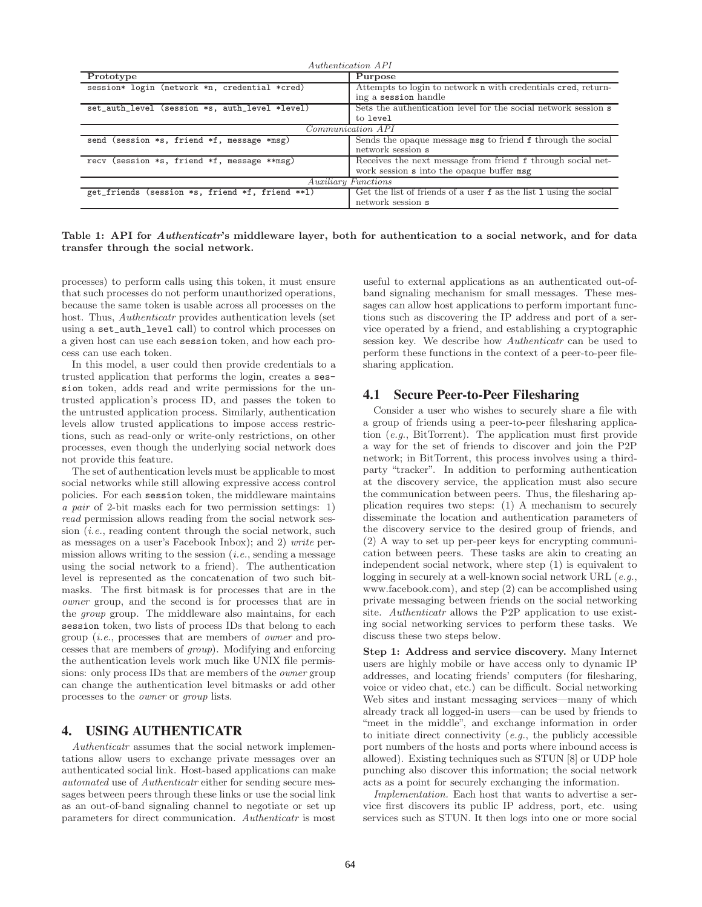| Authentication API                              |                                                                    |
|-------------------------------------------------|--------------------------------------------------------------------|
| Prototype                                       | Purpose                                                            |
| session* login (network *n, credential *cred)   | Attempts to login to network n with credentials cred, return-      |
|                                                 | ing a session handle                                               |
| set_auth_level (session *s, auth_level *level)  | Sets the authentication level for the social network session s     |
|                                                 | to level                                                           |
| Communication API                               |                                                                    |
| send (session *s, friend *f, message *msg)      | Sends the opaque message msg to friend f through the social        |
|                                                 | network session s                                                  |
| recv (session *s, friend *f, message **msg)     | Receives the next message from friend f through social net-        |
|                                                 | work session s into the opaque buffer msg                          |
| <i>Auxiliary Functions</i>                      |                                                                    |
| get_friends (session *s, friend *f, friend **l) | Get the list of friends of a user f as the list 1 using the social |
|                                                 | network session s                                                  |
|                                                 |                                                                    |

Table 1: API for Authenticatr's middleware layer, both for authentication to a social network, and for data transfer through the social network.

processes) to perform calls using this token, it must ensure that such processes do not perform unauthorized operations, because the same token is usable across all processes on the host. Thus, Authenticatr provides authentication levels (set using a set\_auth\_level call) to control which processes on a given host can use each session token, and how each process can use each token.

In this model, a user could then provide credentials to a trusted application that performs the login, creates a session token, adds read and write permissions for the untrusted application's process ID, and passes the token to the untrusted application process. Similarly, authentication levels allow trusted applications to impose access restrictions, such as read-only or write-only restrictions, on other processes, even though the underlying social network does not provide this feature.

The set of authentication levels must be applicable to most social networks while still allowing expressive access control policies. For each session token, the middleware maintains a pair of 2-bit masks each for two permission settings: 1) read permission allows reading from the social network session  $(i.e., reading content through the social network, such$ as messages on a user's Facebook Inbox); and 2) write permission allows writing to the session  $(i.e.,$  sending a message using the social network to a friend). The authentication level is represented as the concatenation of two such bitmasks. The first bitmask is for processes that are in the owner group, and the second is for processes that are in the group group. The middleware also maintains, for each session token, two lists of process IDs that belong to each group (i.e., processes that are members of owner and processes that are members of group). Modifying and enforcing the authentication levels work much like UNIX file permissions: only process IDs that are members of the *owner* group can change the authentication level bitmasks or add other processes to the owner or group lists.

#### **4. USING AUTHENTICATR**

Authenticatr assumes that the social network implementations allow users to exchange private messages over an authenticated social link. Host-based applications can make automated use of Authenticatr either for sending secure messages between peers through these links or use the social link as an out-of-band signaling channel to negotiate or set up parameters for direct communication. Authenticatr is most

useful to external applications as an authenticated out-ofband signaling mechanism for small messages. These messages can allow host applications to perform important functions such as discovering the IP address and port of a service operated by a friend, and establishing a cryptographic session key. We describe how Authenticatr can be used to perform these functions in the context of a peer-to-peer filesharing application.

#### **4.1 Secure Peer-to-Peer Filesharing**

Consider a user who wishes to securely share a file with a group of friends using a peer-to-peer filesharing application (e.g., BitTorrent). The application must first provide a way for the set of friends to discover and join the P2P network; in BitTorrent, this process involves using a thirdparty "tracker". In addition to performing authentication at the discovery service, the application must also secure the communication between peers. Thus, the filesharing application requires two steps: (1) A mechanism to securely disseminate the location and authentication parameters of the discovery service to the desired group of friends, and (2) A way to set up per-peer keys for encrypting communication between peers. These tasks are akin to creating an independent social network, where step (1) is equivalent to logging in securely at a well-known social network URL (e.g., www.facebook.com), and step (2) can be accomplished using private messaging between friends on the social networking site. Authenticatr allows the P2P application to use existing social networking services to perform these tasks. We discuss these two steps below.

Step 1: Address and service discovery. Many Internet users are highly mobile or have access only to dynamic IP addresses, and locating friends' computers (for filesharing, voice or video chat, etc.) can be difficult. Social networking Web sites and instant messaging services—many of which already track all logged-in users—can be used by friends to "meet in the middle", and exchange information in order to initiate direct connectivity  $(e.g., the publicly accessible$ port numbers of the hosts and ports where inbound access is allowed). Existing techniques such as STUN [8] or UDP hole punching also discover this information; the social network acts as a point for securely exchanging the information.

Implementation. Each host that wants to advertise a service first discovers its public IP address, port, etc. using services such as STUN. It then logs into one or more social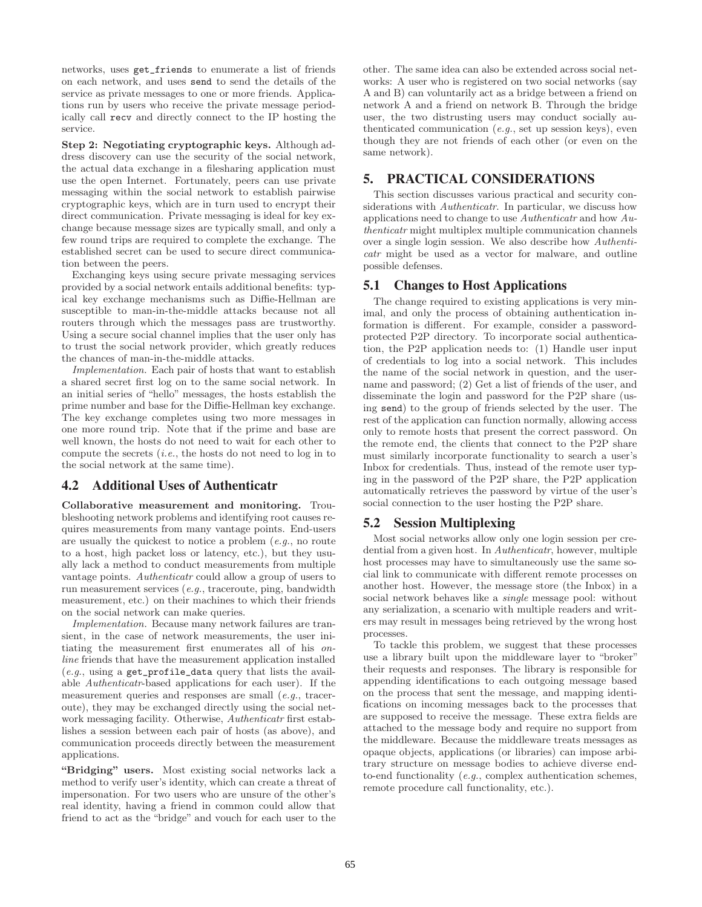networks, uses get\_friends to enumerate a list of friends on each network, and uses send to send the details of the service as private messages to one or more friends. Applications run by users who receive the private message periodically call recv and directly connect to the IP hosting the service.

Step 2: Negotiating cryptographic keys. Although address discovery can use the security of the social network, the actual data exchange in a filesharing application must use the open Internet. Fortunately, peers can use private messaging within the social network to establish pairwise cryptographic keys, which are in turn used to encrypt their direct communication. Private messaging is ideal for key exchange because message sizes are typically small, and only a few round trips are required to complete the exchange. The established secret can be used to secure direct communication between the peers.

Exchanging keys using secure private messaging services provided by a social network entails additional benefits: typical key exchange mechanisms such as Diffie-Hellman are susceptible to man-in-the-middle attacks because not all routers through which the messages pass are trustworthy. Using a secure social channel implies that the user only has to trust the social network provider, which greatly reduces the chances of man-in-the-middle attacks.

Implementation. Each pair of hosts that want to establish a shared secret first log on to the same social network. In an initial series of "hello" messages, the hosts establish the prime number and base for the Diffie-Hellman key exchange. The key exchange completes using two more messages in one more round trip. Note that if the prime and base are well known, the hosts do not need to wait for each other to compute the secrets (i.e., the hosts do not need to log in to the social network at the same time).

## **4.2 Additional Uses of Authenticatr**

Collaborative measurement and monitoring. Troubleshooting network problems and identifying root causes requires measurements from many vantage points. End-users are usually the quickest to notice a problem (e.g., no route to a host, high packet loss or latency, etc.), but they usually lack a method to conduct measurements from multiple vantage points. Authenticatr could allow a group of users to run measurement services (e.g., traceroute, ping, bandwidth measurement, etc.) on their machines to which their friends on the social network can make queries.

Implementation. Because many network failures are transient, in the case of network measurements, the user initiating the measurement first enumerates all of his online friends that have the measurement application installed  $(e.g., using a get profile_data query that lists the avail$ able Authenticatr-based applications for each user). If the measurement queries and responses are small (e.g., traceroute), they may be exchanged directly using the social network messaging facility. Otherwise, Authenticatr first establishes a session between each pair of hosts (as above), and communication proceeds directly between the measurement applications.

"Bridging" users. Most existing social networks lack a method to verify user's identity, which can create a threat of impersonation. For two users who are unsure of the other's real identity, having a friend in common could allow that friend to act as the "bridge" and vouch for each user to the other. The same idea can also be extended across social networks: A user who is registered on two social networks (say A and B) can voluntarily act as a bridge between a friend on network A and a friend on network B. Through the bridge user, the two distrusting users may conduct socially authenticated communication (e.g., set up session keys), even though they are not friends of each other (or even on the same network).

## **5. PRACTICAL CONSIDERATIONS**

This section discusses various practical and security considerations with *Authenticatr*. In particular, we discuss how applications need to change to use Authenticatr and how Authenticatr might multiplex multiple communication channels over a single login session. We also describe how Authenticatr might be used as a vector for malware, and outline possible defenses.

## **5.1 Changes to Host Applications**

The change required to existing applications is very minimal, and only the process of obtaining authentication information is different. For example, consider a passwordprotected P2P directory. To incorporate social authentication, the P2P application needs to: (1) Handle user input of credentials to log into a social network. This includes the name of the social network in question, and the username and password; (2) Get a list of friends of the user, and disseminate the login and password for the P2P share (using send) to the group of friends selected by the user. The rest of the application can function normally, allowing access only to remote hosts that present the correct password. On the remote end, the clients that connect to the P2P share must similarly incorporate functionality to search a user's Inbox for credentials. Thus, instead of the remote user typing in the password of the P2P share, the P2P application automatically retrieves the password by virtue of the user's social connection to the user hosting the P2P share.

## **5.2 Session Multiplexing**

Most social networks allow only one login session per credential from a given host. In Authenticatr, however, multiple host processes may have to simultaneously use the same social link to communicate with different remote processes on another host. However, the message store (the Inbox) in a social network behaves like a single message pool: without any serialization, a scenario with multiple readers and writers may result in messages being retrieved by the wrong host processes.

To tackle this problem, we suggest that these processes use a library built upon the middleware layer to "broker" their requests and responses. The library is responsible for appending identifications to each outgoing message based on the process that sent the message, and mapping identifications on incoming messages back to the processes that are supposed to receive the message. These extra fields are attached to the message body and require no support from the middleware. Because the middleware treats messages as opaque objects, applications (or libraries) can impose arbitrary structure on message bodies to achieve diverse endto-end functionality (e.g., complex authentication schemes, remote procedure call functionality, etc.).